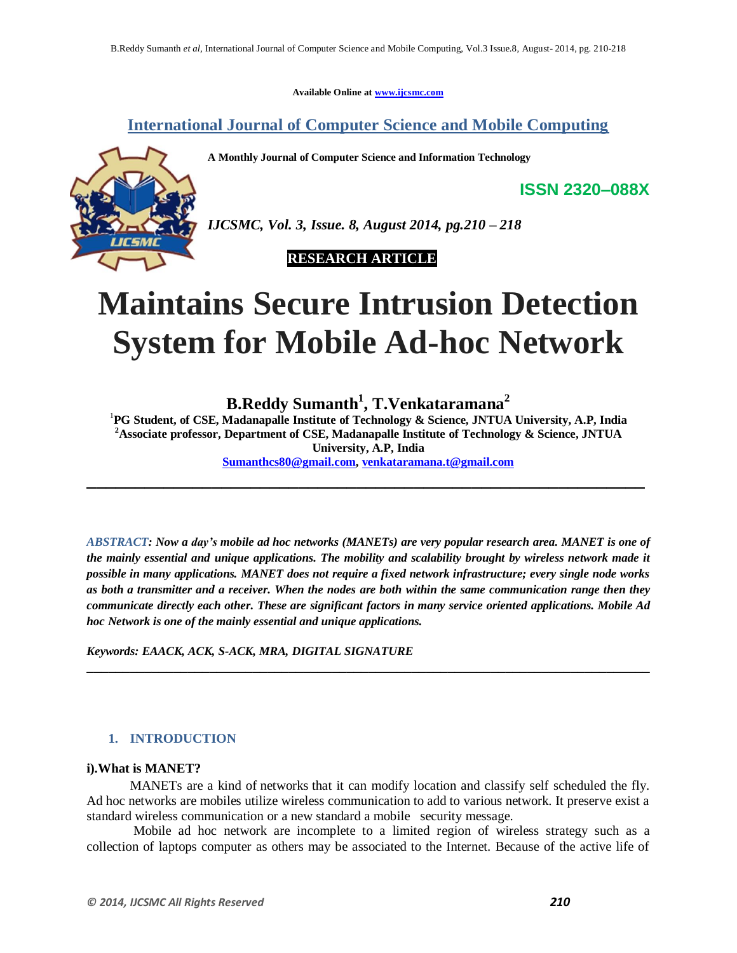**Available Online at www.ijcsmc.com**

**International Journal of Computer Science and Mobile Computing**

**A Monthly Journal of Computer Science and Information Technology**



*IJCSMC, Vol. 3, Issue. 8, August 2014, pg.210 – 218*

 **RESEARCH ARTICLE**

# **Maintains Secure Intrusion Detection System for Mobile Ad-hoc Network**

**B.Reddy Sumanth<sup>1</sup> , T.Venkataramana<sup>2</sup>**

<sup>1</sup>**PG Student, of CSE, Madanapalle Institute of Technology & Science, JNTUA University, A.P, India <sup>2</sup>Associate professor, Department of CSE, Madanapalle Institute of Technology & Science, JNTUA University, A.P, India Sumanthcs80@gmail.com, venkataramana.t@gmail.com**

**\_\_\_\_\_\_\_\_\_\_\_\_\_\_\_\_\_\_\_\_\_\_\_\_\_\_\_\_\_\_\_\_\_\_\_\_\_\_\_\_\_\_\_\_\_\_\_\_\_\_\_\_\_\_\_\_\_\_**

*ABSTRACT: Now a day's mobile ad hoc networks (MANETs) are very popular research area. MANET is one of the mainly essential and unique applications. The mobility and scalability brought by wireless network made it possible in many applications. MANET does not require a fixed network infrastructure; every single node works as both a transmitter and a receiver. When the nodes are both within the same communication range then they communicate directly each other. These are significant factors in many service oriented applications. Mobile Ad hoc Network is one of the mainly essential and unique applications.*

\_\_\_\_\_\_\_\_\_\_\_\_\_\_\_\_\_\_\_\_\_\_\_\_\_\_\_\_\_\_\_\_\_\_\_\_\_\_\_\_\_\_\_\_\_\_\_\_\_\_\_\_\_\_\_\_\_\_\_\_\_\_\_\_\_\_\_\_\_\_\_\_\_\_\_\_\_\_

*Keywords: EAACK, ACK, S-ACK, MRA, DIGITAL SIGNATURE*

# **1. INTRODUCTION**

## **i).What is MANET?**

MANETs are a kind of networks that it can modify location and classify self scheduled the fly. Ad hoc networks are mobiles utilize wireless communication to add to various network. It preserve exist a standard wireless communication or a new standard a mobile security message.

Mobile ad hoc network are incomplete to a limited region of wireless strategy such as a collection of laptops computer as others may be associated to the Internet. Because of the active life of

**ISSN 2320–088X**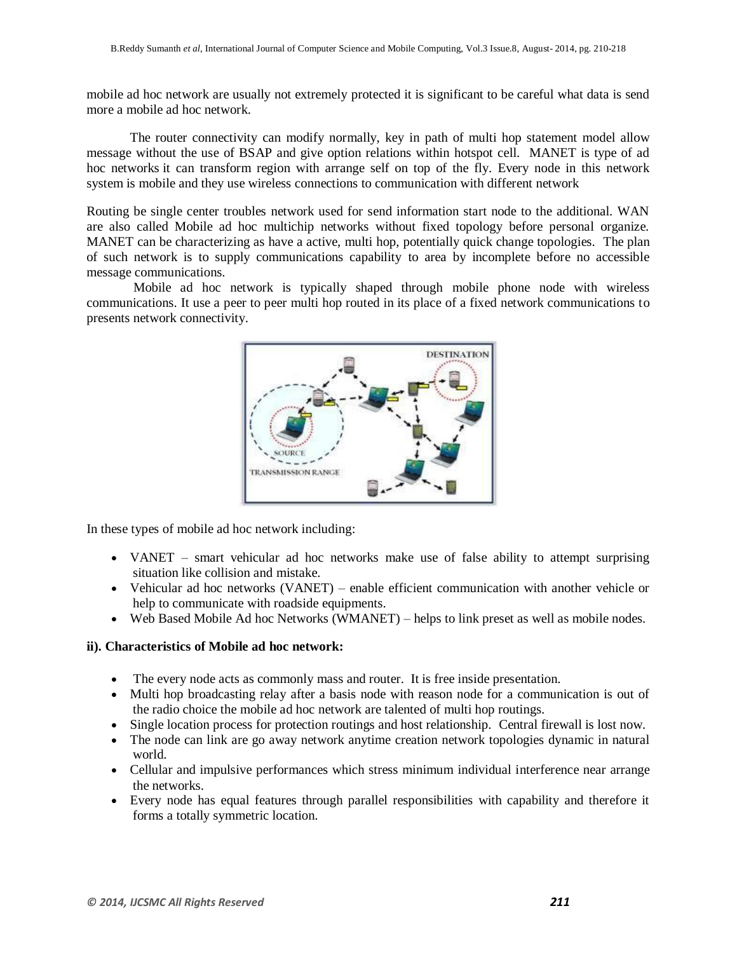mobile ad hoc network are usually not extremely protected it is significant to be careful what data is send more a mobile ad hoc network.

The router connectivity can modify normally, key in path of multi hop statement model allow message without the use of BSAP and give option relations within hotspot cell. MANET is type of ad hoc networks it can transform region with arrange self on top of the fly. Every node in this network system is mobile and they use wireless connections to communication with different network

Routing be single center troubles network used for send information start node to the additional. WAN are also called Mobile ad hoc multichip networks without fixed topology before personal organize. MANET can be characterizing as have a active, multi hop, potentially quick change topologies. The plan of such network is to supply communications capability to area by incomplete before no accessible message communications.

Mobile ad hoc network is typically shaped through mobile phone node with wireless communications. It use a peer to peer multi hop routed in its place of a fixed network communications to presents network connectivity.



In these types of mobile ad hoc network including:

- VANET smart vehicular ad hoc networks make use of false ability to attempt surprising situation like collision and mistake.
- Vehicular ad hoc networks (VANET) enable efficient communication with another vehicle or help to communicate with roadside equipments.
- Web Based Mobile Ad hoc Networks (WMANET) helps to link preset as well as mobile nodes.

# **ii). Characteristics of Mobile ad hoc network:**

- The every node acts as commonly mass and router. It is free inside presentation.
- Multi hop broadcasting relay after a basis node with reason node for a communication is out of the radio choice the mobile ad hoc network are talented of multi hop routings.
- Single location process for protection routings and host relationship. Central firewall is lost now.
- The node can link are go away network anytime creation network topologies dynamic in natural world.
- Cellular and impulsive performances which stress minimum individual interference near arrange the networks.
- Every node has equal features through parallel responsibilities with capability and therefore it forms a totally symmetric location.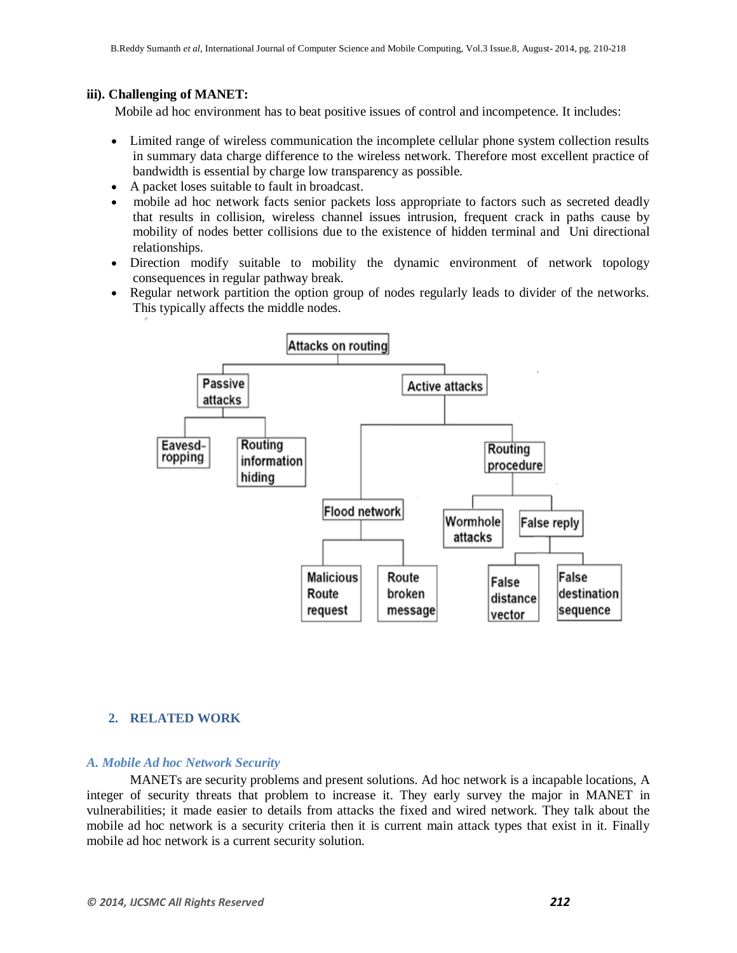## **iii). Challenging of MANET:**

Mobile ad hoc environment has to beat positive issues of control and incompetence. It includes:

- Limited range of wireless communication the incomplete cellular phone system collection results in summary data charge difference to the wireless network. Therefore most excellent practice of bandwidth is essential by charge low transparency as possible.
- A packet loses suitable to fault in broadcast.
- mobile ad hoc network facts senior packets loss appropriate to factors such as secreted deadly that results in collision, wireless channel issues intrusion, frequent crack in paths cause by mobility of nodes better collisions due to the existence of hidden terminal and Uni directional relationships.
- Direction modify suitable to mobility the dynamic environment of network topology consequences in regular pathway break.
- Regular network partition the option group of nodes regularly leads to divider of the networks. This typically affects the middle nodes.



## **2. RELATED WORK**

#### *A. Mobile Ad hoc Network Security*

MANETs are security problems and present solutions. Ad hoc network is a incapable locations, A integer of security threats that problem to increase it. They early survey the major in MANET in vulnerabilities; it made easier to details from attacks the fixed and wired network. They talk about the mobile ad hoc network is a security criteria then it is current main attack types that exist in it. Finally mobile ad hoc network is a current security solution.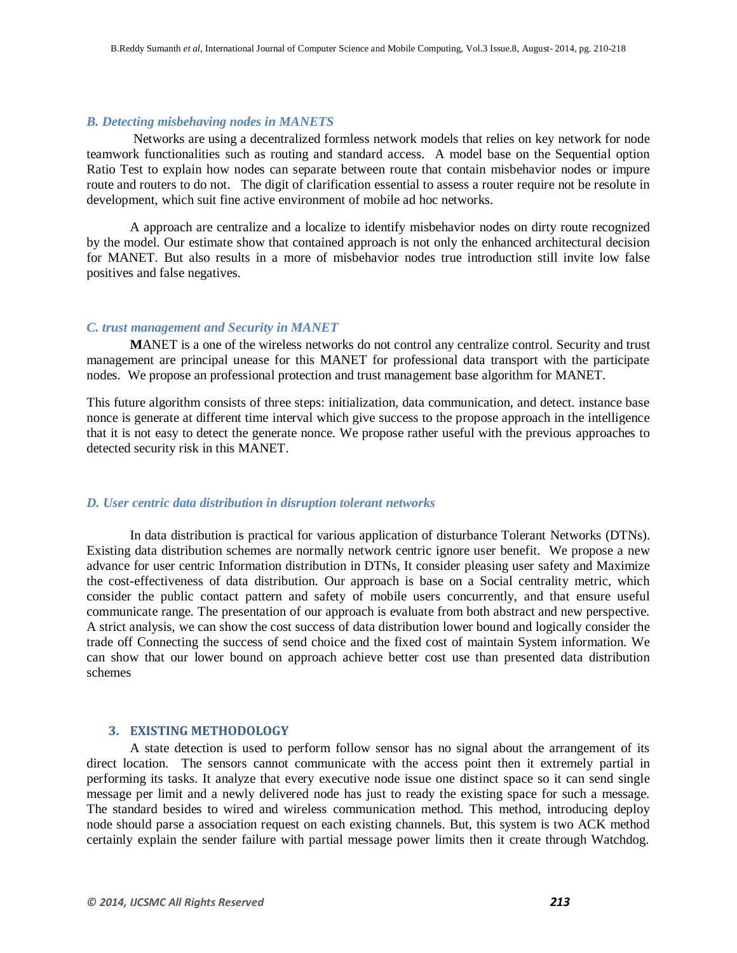#### *B. Detecting misbehaving nodes in MANETS*

Networks are using a decentralized formless network models that relies on key network for node teamwork functionalities such as routing and standard access. A model base on the Sequential option Ratio Test to explain how nodes can separate between route that contain misbehavior nodes or impure route and routers to do not. The digit of clarification essential to assess a router require not be resolute in development, which suit fine active environment of mobile ad hoc networks.

A approach are centralize and a localize to identify misbehavior nodes on dirty route recognized by the model. Our estimate show that contained approach is not only the enhanced architectural decision for MANET. But also results in a more of misbehavior nodes true introduction still invite low false positives and false negatives.

#### *C. trust management and Security in MANET*

**M**ANET is a one of the wireless networks do not control any centralize control. Security and trust management are principal unease for this MANET for professional data transport with the participate nodes. We propose an professional protection and trust management base algorithm for MANET.

This future algorithm consists of three steps: initialization, data communication, and detect. instance base nonce is generate at different time interval which give success to the propose approach in the intelligence that it is not easy to detect the generate nonce. We propose rather useful with the previous approaches to detected security risk in this MANET.

## *D. User centric data distribution in disruption tolerant networks*

In data distribution is practical for various application of disturbance Tolerant Networks (DTNs). Existing data distribution schemes are normally network centric ignore user benefit. We propose a new advance for user centric Information distribution in DTNs, It consider pleasing user safety and Maximize the cost-effectiveness of data distribution. Our approach is base on a Social centrality metric, which consider the public contact pattern and safety of mobile users concurrently, and that ensure useful communicate range. The presentation of our approach is evaluate from both abstract and new perspective. A strict analysis, we can show the cost success of data distribution lower bound and logically consider the trade off Connecting the success of send choice and the fixed cost of maintain System information. We can show that our lower bound on approach achieve better cost use than presented data distribution schemes

#### **3. EXISTING METHODOLOGY**

A state detection is used to perform follow sensor has no signal about the arrangement of its direct location. The sensors cannot communicate with the access point then it extremely partial in performing its tasks. It analyze that every executive node issue one distinct space so it can send single message per limit and a newly delivered node has just to ready the existing space for such a message. The standard besides to wired and wireless communication method. This method, introducing deploy node should parse a association request on each existing channels. But, this system is two ACK method certainly explain the sender failure with partial message power limits then it create through Watchdog.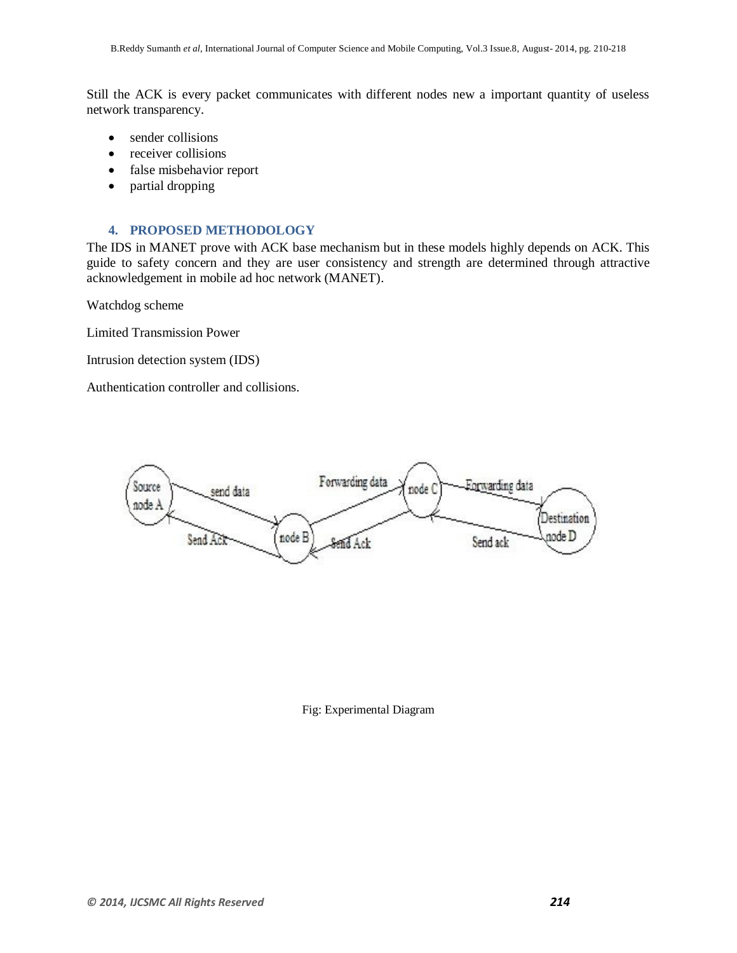Still the ACK is every packet communicates with different nodes new a important quantity of useless network transparency.

- sender collisions
- receiver collisions
- false misbehavior report
- partial dropping

## **4. PROPOSED METHODOLOGY**

The IDS in MANET prove with ACK base mechanism but in these models highly depends on ACK. This guide to safety concern and they are user consistency and strength are determined through attractive acknowledgement in mobile ad hoc network (MANET).

Watchdog scheme

Limited Transmission Power

Intrusion detection system (IDS)

Authentication controller and collisions.



## Fig: Experimental Diagram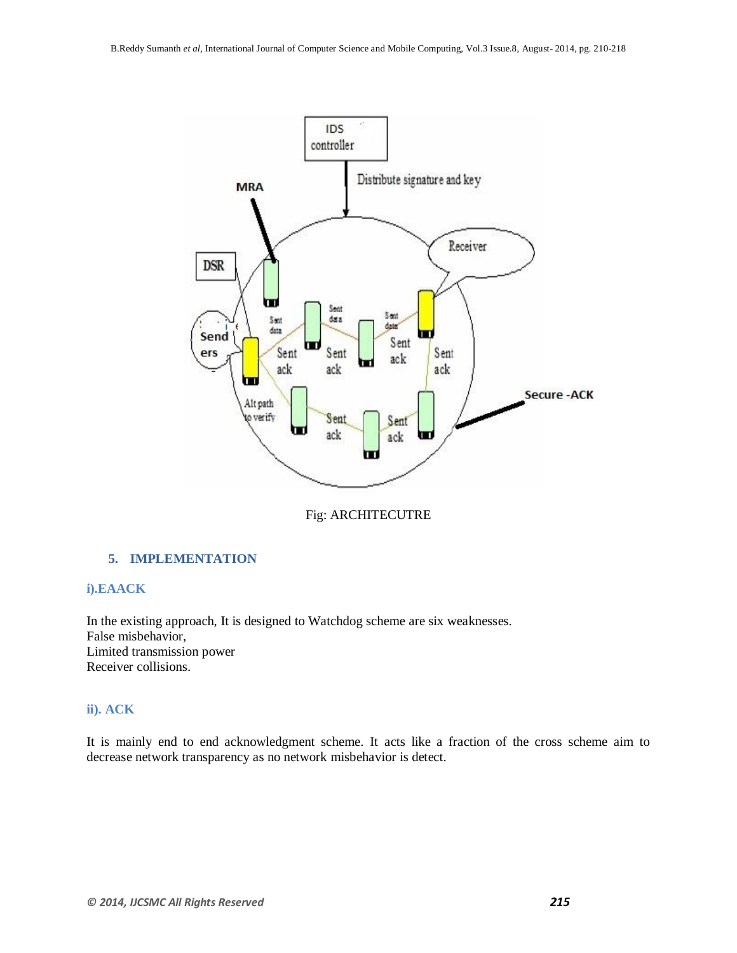

Fig: ARCHITECUTRE

# **5. IMPLEMENTATION**

## **i).EAACK**

In the existing approach, It is designed to Watchdog scheme are six weaknesses. False misbehavior, Limited transmission power Receiver collisions.

# **ii). ACK**

It is mainly end to end acknowledgment scheme. It acts like a fraction of the cross scheme aim to decrease network transparency as no network misbehavior is detect.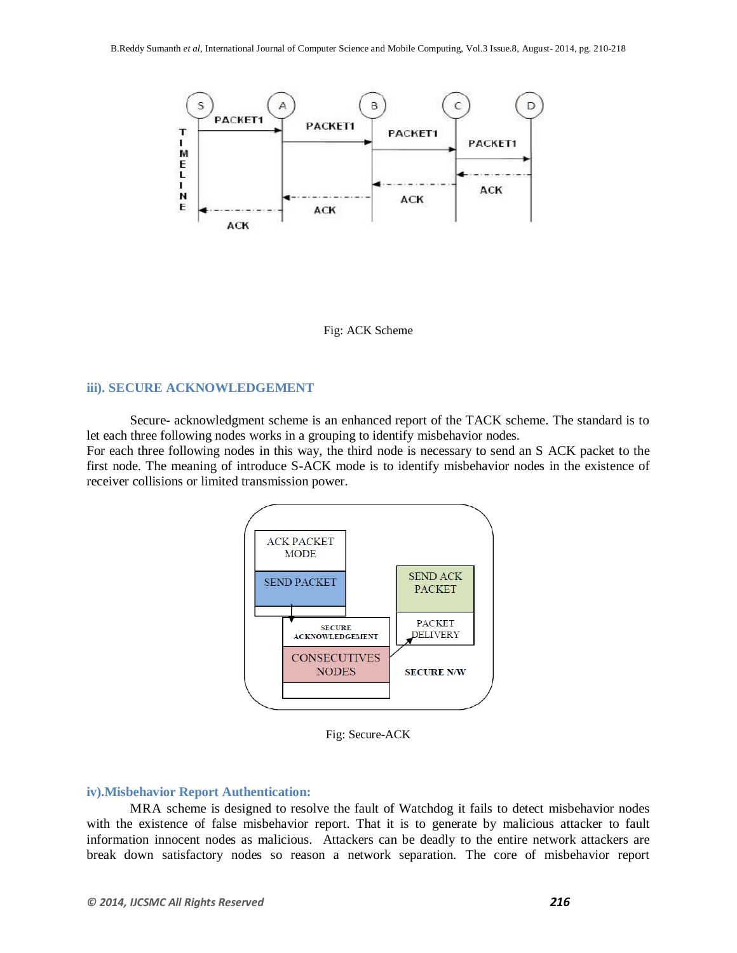

Fig: ACK Scheme

## **iii). SECURE ACKNOWLEDGEMENT**

Secure- acknowledgment scheme is an enhanced report of the TACK scheme. The standard is to let each three following nodes works in a grouping to identify misbehavior nodes. For each three following nodes in this way, the third node is necessary to send an S ACK packet to the first node. The meaning of introduce S-ACK mode is to identify misbehavior nodes in the existence of receiver collisions or limited transmission power.



Fig: Secure-ACK

#### **iv).Misbehavior Report Authentication:**

MRA scheme is designed to resolve the fault of Watchdog it fails to detect misbehavior nodes with the existence of false misbehavior report. That it is to generate by malicious attacker to fault information innocent nodes as malicious. Attackers can be deadly to the entire network attackers are break down satisfactory nodes so reason a network separation. The core of misbehavior report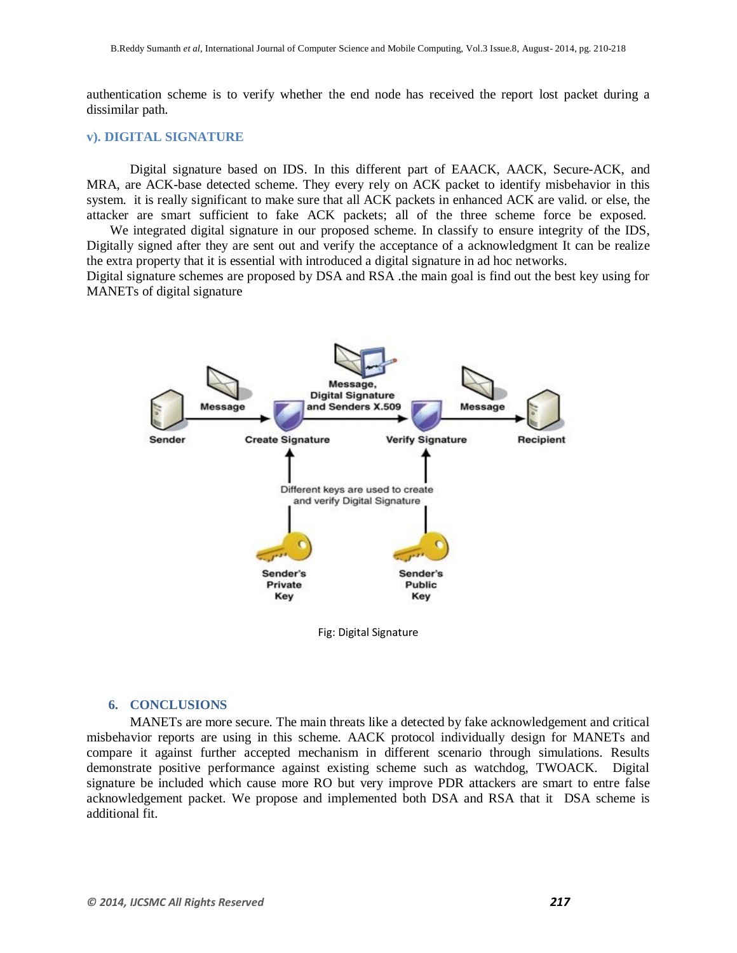authentication scheme is to verify whether the end node has received the report lost packet during a dissimilar path.

#### **v). DIGITAL SIGNATURE**

MANETs of digital signature

Digital signature based on IDS. In this different part of EAACK, AACK, Secure-ACK, and MRA, are ACK-base detected scheme. They every rely on ACK packet to identify misbehavior in this system. it is really significant to make sure that all ACK packets in enhanced ACK are valid. or else, the attacker are smart sufficient to fake ACK packets; all of the three scheme force be exposed.

We integrated digital signature in our proposed scheme. In classify to ensure integrity of the IDS, Digitally signed after they are sent out and verify the acceptance of a acknowledgment It can be realize the extra property that it is essential with introduced a digital signature in ad hoc networks. Digital signature schemes are proposed by DSA and RSA .the main goal is find out the best key using for

Message. **Digital Signature** and Senders X.509 Message Message **Verify Signature Create Signature Recipient** Sender Different keys are used to create and verify Digital Signature Sender's Sender's Private Public Key Key

Fig: Digital Signature

#### **6. CONCLUSIONS**

MANETs are more secure. The main threats like a detected by fake acknowledgement and critical misbehavior reports are using in this scheme. AACK protocol individually design for MANETs and compare it against further accepted mechanism in different scenario through simulations. Results demonstrate positive performance against existing scheme such as watchdog, TWOACK. Digital signature be included which cause more RO but very improve PDR attackers are smart to entre false acknowledgement packet. We propose and implemented both DSA and RSA that it DSA scheme is additional fit.